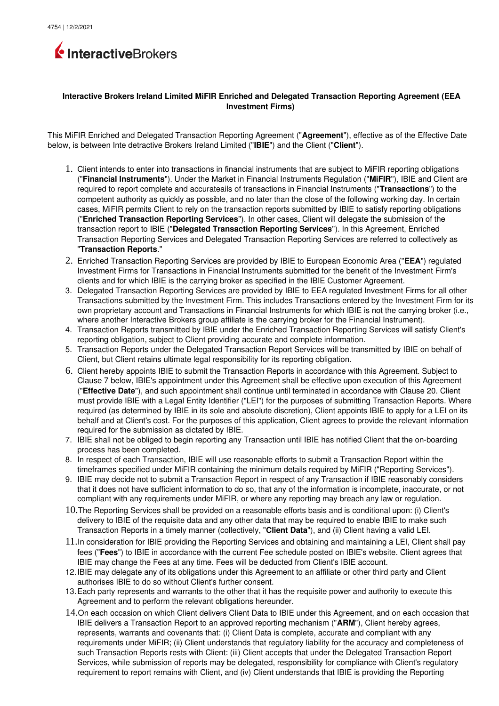

## **Interactive Brokers Ireland Limited MiFIR Enriched and Delegated Transaction Reporting Agreement (EEA Investment Firms)**

This MiFIR Enriched and Delegated Transaction Reporting Agreement ("**Agreement**"), effective as of the Effective Date below, is between Inte detractive Brokers Ireland Limited ("**IBIE**") and the Client ("**Client**").

- 1. Client intends to enter into transactions in financial instruments that are subject to MiFIR reporting obligations ("**Financial Instruments**"). Under the Market in Financial Instruments Regulation ("**MiFIR**"), IBIE and Client are required to report complete and accurateails of transactions in Financial Instruments ("**Transactions**") to the competent authority as quickly as possible, and no later than the close of the following working day. In certain cases, MiFIR permits Client to rely on the transaction reports submitted by IBIE to satisfy reporting obligations ("**Enriched Transaction Reporting Services**"). In other cases, Client will delegate the submission of the transaction report to IBIE ("**Delegated Transaction Reporting Services**"). In this Agreement, Enriched Transaction Reporting Services and Delegated Transaction Reporting Services are referred to collectively as "**Transaction Reports**."
- 2. Enriched Transaction Reporting Services are provided by IBIE to European Economic Area ("**EEA**") regulated Investment Firms for Transactions in Financial Instruments submitted for the benefit of the Investment Firm's clients and for which IBIE is the carrying broker as specified in the IBIE Customer Agreement.
- 3. Delegated Transaction Reporting Services are provided by IBIE to EEA regulated Investment Firms for all other Transactions submitted by the Investment Firm. This includes Transactions entered by the Investment Firm for its own proprietary account and Transactions in Financial Instruments for which IBIE is not the carrying broker (i.e., where another Interactive Brokers group affiliate is the carrying broker for the Financial Instrument).
- 4. Transaction Reports transmitted by IBIE under the Enriched Transaction Reporting Services will satisfy Client's reporting obligation, subject to Client providing accurate and complete information.
- 5. Transaction Reports under the Delegated Transaction Report Services will be transmitted by IBIE on behalf of Client, but Client retains ultimate legal responsibility for its reporting obligation.
- 6. Client hereby appoints IBIE to submit the Transaction Reports in accordance with this Agreement. Subject to Clause 7 below, IBIE's appointment under this Agreement shall be effective upon execution of this Agreement ("**Effective Date**"), and such appointment shall continue until terminated in accordance with Clause 20. Client must provide IBIE with a Legal Entity Identifier ("LEI") for the purposes of submitting Transaction Reports. Where required (as determined by IBIE in its sole and absolute discretion), Client appoints IBIE to apply for a LEI on its behalf and at Client's cost. For the purposes of this application, Client agrees to provide the relevant information required for the submission as dictated by IBIE.
- 7. IBIE shall not be obliged to begin reporting any Transaction until IBIE has notified Client that the on-boarding process has been completed.
- 8. In respect of each Transaction, IBIE will use reasonable efforts to submit a Transaction Report within the timeframes specified under MiFIR containing the minimum details required by MiFIR ("Reporting Services").
- 9. IBIE may decide not to submit a Transaction Report in respect of any Transaction if IBIE reasonably considers that it does not have sufficient information to do so, that any of the information is incomplete, inaccurate, or not compliant with any requirements under MiFIR, or where any reporting may breach any law or regulation.
- 10.The Reporting Services shall be provided on a reasonable efforts basis and is conditional upon: (i) Client's delivery to IBIE of the requisite data and any other data that may be required to enable IBIE to make such Transaction Reports in a timely manner (collectively, "**Client Data**"), and (ii) Client having a valid LEI.
- 11.In consideration for IBIE providing the Reporting Services and obtaining and maintaining a LEI, Client shall pay fees ("**Fees**") to IBIE in accordance with the current Fee schedule posted on IBIE's website. Client agrees that IBIE may change the Fees at any time. Fees will be deducted from Client's IBIE account.
- 12.IBIE may delegate any of its obligations under this Agreement to an affiliate or other third party and Client authorises IBIE to do so without Client's further consent.
- 13.Each party represents and warrants to the other that it has the requisite power and authority to execute this Agreement and to perform the relevant obligations hereunder.
- 14.On each occasion on which Client delivers Client Data to IBIE under this Agreement, and on each occasion that IBIE delivers a Transaction Report to an approved reporting mechanism ("**ARM**"), Client hereby agrees, represents, warrants and covenants that: (i) Client Data is complete, accurate and compliant with any requirements under MiFIR; (ii) Client understands that regulatory liability for the accuracy and completeness of such Transaction Reports rests with Client: (iii) Client accepts that under the Delegated Transaction Report Services, while submission of reports may be delegated, responsibility for compliance with Client's regulatory requirement to report remains with Client, and (iv) Client understands that IBIE is providing the Reporting